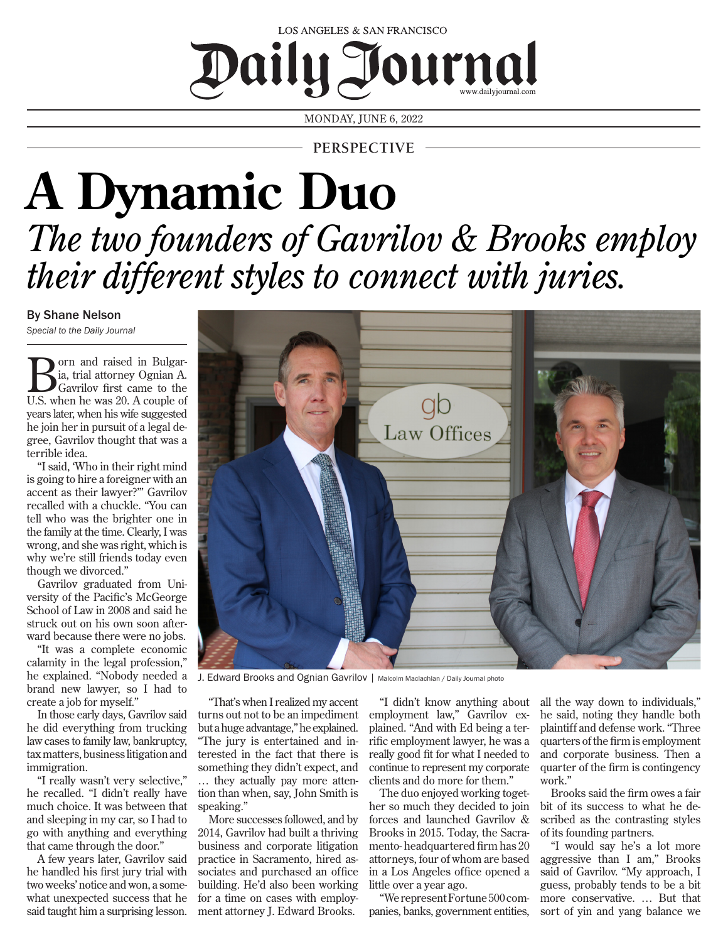## LOS ANGELES & SAN FRANCISCO Daily Journal

MONDAY, JUNE 6, 2022

**PERSPECTIVE**

## **A Dynamic Duo** *The two founders of Gavrilov & Brooks employ their different styles to connect with juries.*

By Shane Nelson *Special to the Daily Journal*

**B** orn and raised in Bulgar-<br>
Gavrilov first came to the<br>
U.S. when he was 20, A couple of ia, trial attorney Ognian A. U.S. when he was 20. A couple of years later, when his wife suggested he join her in pursuit of a legal degree, Gavrilov thought that was a terrible idea.

"I said, 'Who in their right mind is going to hire a foreigner with an accent as their lawyer?'" Gavrilov recalled with a chuckle. "You can tell who was the brighter one in the family at the time. Clearly, I was wrong, and she was right, which is why we're still friends today even though we divorced."

Gavrilov graduated from University of the Pacific's McGeorge School of Law in 2008 and said he struck out on his own soon afterward because there were no jobs.

"It was a complete economic calamity in the legal profession," brand new lawyer, so I had to create a job for myself."

In those early days, Gavrilov said he did everything from trucking law cases to family law, bankruptcy, tax matters, business litigation and immigration.

"I really wasn't very selective," he recalled. "I didn't really have much choice. It was between that and sleeping in my car, so I had to go with anything and everything that came through the door."

speaking."

More successes followed, and by 2014, Gavrilov had built a thriving business and corporate litigation practice in Sacramento, hired associates and purchased an office building. He'd also been working for a time on cases with employment attorney J. Edward Brooks.

A few years later, Gavrilov said he handled his first jury trial with two weeks' notice and won, a somewhat unexpected success that he said taught him a surprising lesson.

"That's when I realized my accent turns out not to be an impediment but a huge advantage," he explained. "The jury is entertained and interested in the fact that there is something they didn't expect, and … they actually pay more attention than when, say, John Smith is "I didn't know anything about employment law," Gavrilov explained. "And with Ed being a terrific employment lawyer, he was a really good fit for what I needed to continue to represent my corporate clients and do more for them."

The duo enjoyed working together so much they decided to join forces and launched Gavrilov & Brooks in 2015. Today, the Sacramento- headquartered firm has 20 attorneys, four of whom are based in a Los Angeles office opened a little over a year ago.

"We represent Fortune 500 companies, banks, government entities, all the way down to individuals," he said, noting they handle both plaintiff and defense work. "Three quarters of the firm is employment and corporate business. Then a quarter of the firm is contingency work."

Brooks said the firm owes a fair bit of its success to what he described as the contrasting styles of its founding partners.

"I would say he's a lot more aggressive than I am," Brooks said of Gavrilov. "My approach, I guess, probably tends to be a bit more conservative. … But that sort of yin and yang balance we

Law Offices

he explained. "Nobody needed a J. Edward Brooks and Ognian Gavrilov | Malcolm Maclachlan / Daily Journal photo